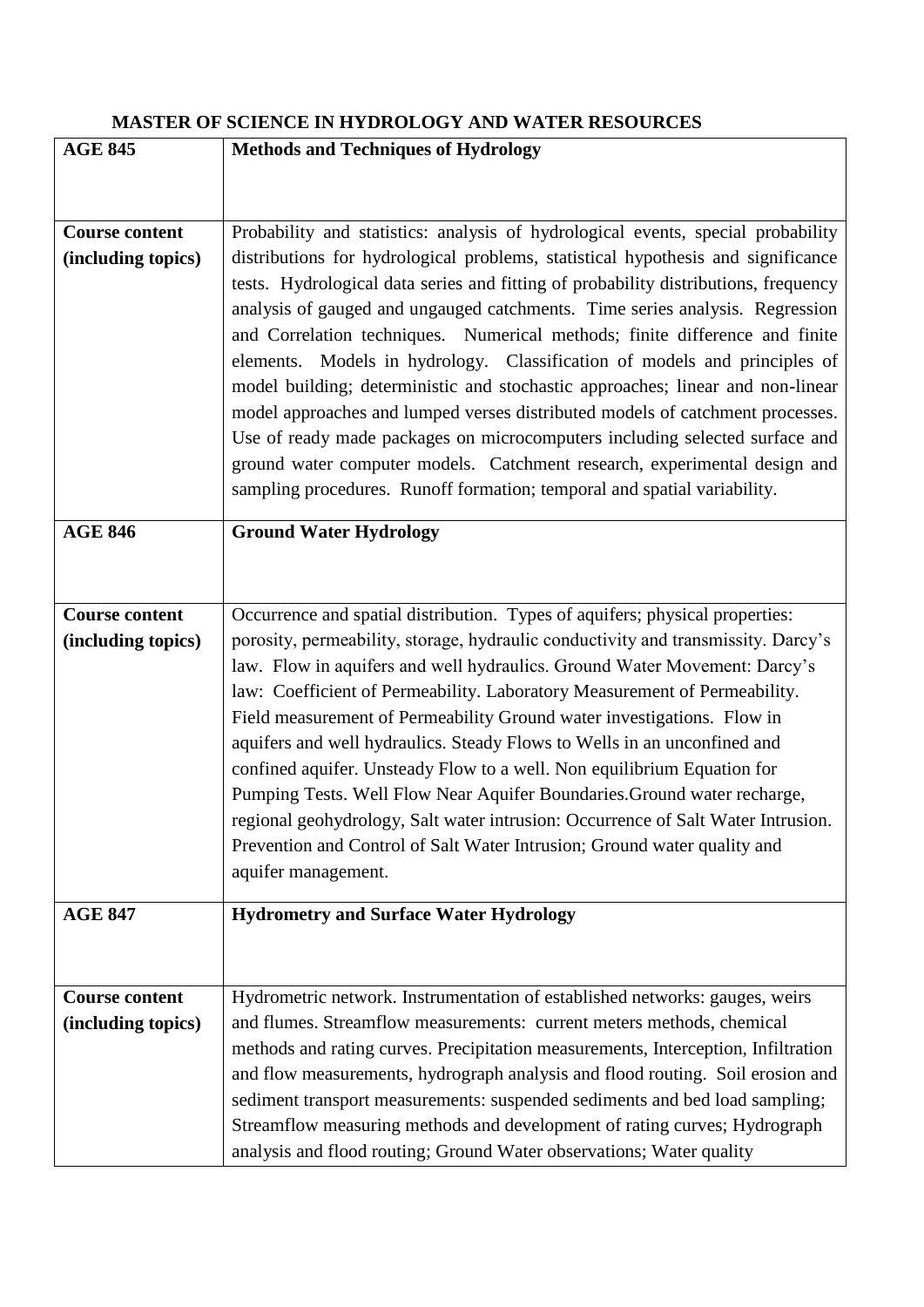## **MASTER OF SCIENCE IN HYDROLOGY AND WATER RESOURCES**

| <b>AGE 845</b>                              | <b>Methods and Techniques of Hydrology</b>                                                                                                                                                                                                                                                                                                                                                                                                                                                                                                                                                                                                                     |
|---------------------------------------------|----------------------------------------------------------------------------------------------------------------------------------------------------------------------------------------------------------------------------------------------------------------------------------------------------------------------------------------------------------------------------------------------------------------------------------------------------------------------------------------------------------------------------------------------------------------------------------------------------------------------------------------------------------------|
|                                             |                                                                                                                                                                                                                                                                                                                                                                                                                                                                                                                                                                                                                                                                |
|                                             |                                                                                                                                                                                                                                                                                                                                                                                                                                                                                                                                                                                                                                                                |
| <b>Course content</b><br>(including topics) | Probability and statistics: analysis of hydrological events, special probability<br>distributions for hydrological problems, statistical hypothesis and significance                                                                                                                                                                                                                                                                                                                                                                                                                                                                                           |
|                                             | tests. Hydrological data series and fitting of probability distributions, frequency<br>analysis of gauged and ungauged catchments. Time series analysis. Regression<br>and Correlation techniques. Numerical methods; finite difference and finite<br>elements. Models in hydrology. Classification of models and principles of<br>model building; deterministic and stochastic approaches; linear and non-linear<br>model approaches and lumped verses distributed models of catchment processes.<br>Use of ready made packages on microcomputers including selected surface and<br>ground water computer models. Catchment research, experimental design and |
|                                             | sampling procedures. Runoff formation; temporal and spatial variability.                                                                                                                                                                                                                                                                                                                                                                                                                                                                                                                                                                                       |
| <b>AGE 846</b>                              | <b>Ground Water Hydrology</b>                                                                                                                                                                                                                                                                                                                                                                                                                                                                                                                                                                                                                                  |
|                                             |                                                                                                                                                                                                                                                                                                                                                                                                                                                                                                                                                                                                                                                                |
| <b>Course content</b>                       | Occurrence and spatial distribution. Types of aquifers; physical properties:                                                                                                                                                                                                                                                                                                                                                                                                                                                                                                                                                                                   |
| (including topics)                          | porosity, permeability, storage, hydraulic conductivity and transmissity. Darcy's                                                                                                                                                                                                                                                                                                                                                                                                                                                                                                                                                                              |
|                                             | law. Flow in aquifers and well hydraulics. Ground Water Movement: Darcy's                                                                                                                                                                                                                                                                                                                                                                                                                                                                                                                                                                                      |
|                                             | law: Coefficient of Permeability. Laboratory Measurement of Permeability.                                                                                                                                                                                                                                                                                                                                                                                                                                                                                                                                                                                      |
|                                             | Field measurement of Permeability Ground water investigations. Flow in                                                                                                                                                                                                                                                                                                                                                                                                                                                                                                                                                                                         |
|                                             | aquifers and well hydraulics. Steady Flows to Wells in an unconfined and                                                                                                                                                                                                                                                                                                                                                                                                                                                                                                                                                                                       |
|                                             | confined aquifer. Unsteady Flow to a well. Non equilibrium Equation for                                                                                                                                                                                                                                                                                                                                                                                                                                                                                                                                                                                        |
|                                             | Pumping Tests. Well Flow Near Aquifer Boundaries. Ground water recharge,                                                                                                                                                                                                                                                                                                                                                                                                                                                                                                                                                                                       |
|                                             | regional geohydrology, Salt water intrusion: Occurrence of Salt Water Intrusion.                                                                                                                                                                                                                                                                                                                                                                                                                                                                                                                                                                               |
|                                             | Prevention and Control of Salt Water Intrusion; Ground water quality and                                                                                                                                                                                                                                                                                                                                                                                                                                                                                                                                                                                       |
|                                             | aquifer management.                                                                                                                                                                                                                                                                                                                                                                                                                                                                                                                                                                                                                                            |
| <b>AGE 847</b>                              | <b>Hydrometry and Surface Water Hydrology</b>                                                                                                                                                                                                                                                                                                                                                                                                                                                                                                                                                                                                                  |
|                                             |                                                                                                                                                                                                                                                                                                                                                                                                                                                                                                                                                                                                                                                                |
|                                             |                                                                                                                                                                                                                                                                                                                                                                                                                                                                                                                                                                                                                                                                |
| <b>Course content</b>                       | Hydrometric network. Instrumentation of established networks: gauges, weirs                                                                                                                                                                                                                                                                                                                                                                                                                                                                                                                                                                                    |
| (including topics)                          | and flumes. Streamflow measurements: current meters methods, chemical                                                                                                                                                                                                                                                                                                                                                                                                                                                                                                                                                                                          |
|                                             | methods and rating curves. Precipitation measurements, Interception, Infiltration                                                                                                                                                                                                                                                                                                                                                                                                                                                                                                                                                                              |
|                                             | and flow measurements, hydrograph analysis and flood routing. Soil erosion and                                                                                                                                                                                                                                                                                                                                                                                                                                                                                                                                                                                 |
|                                             | sediment transport measurements: suspended sediments and bed load sampling;                                                                                                                                                                                                                                                                                                                                                                                                                                                                                                                                                                                    |
|                                             | Streamflow measuring methods and development of rating curves; Hydrograph                                                                                                                                                                                                                                                                                                                                                                                                                                                                                                                                                                                      |
|                                             | analysis and flood routing; Ground Water observations; Water quality                                                                                                                                                                                                                                                                                                                                                                                                                                                                                                                                                                                           |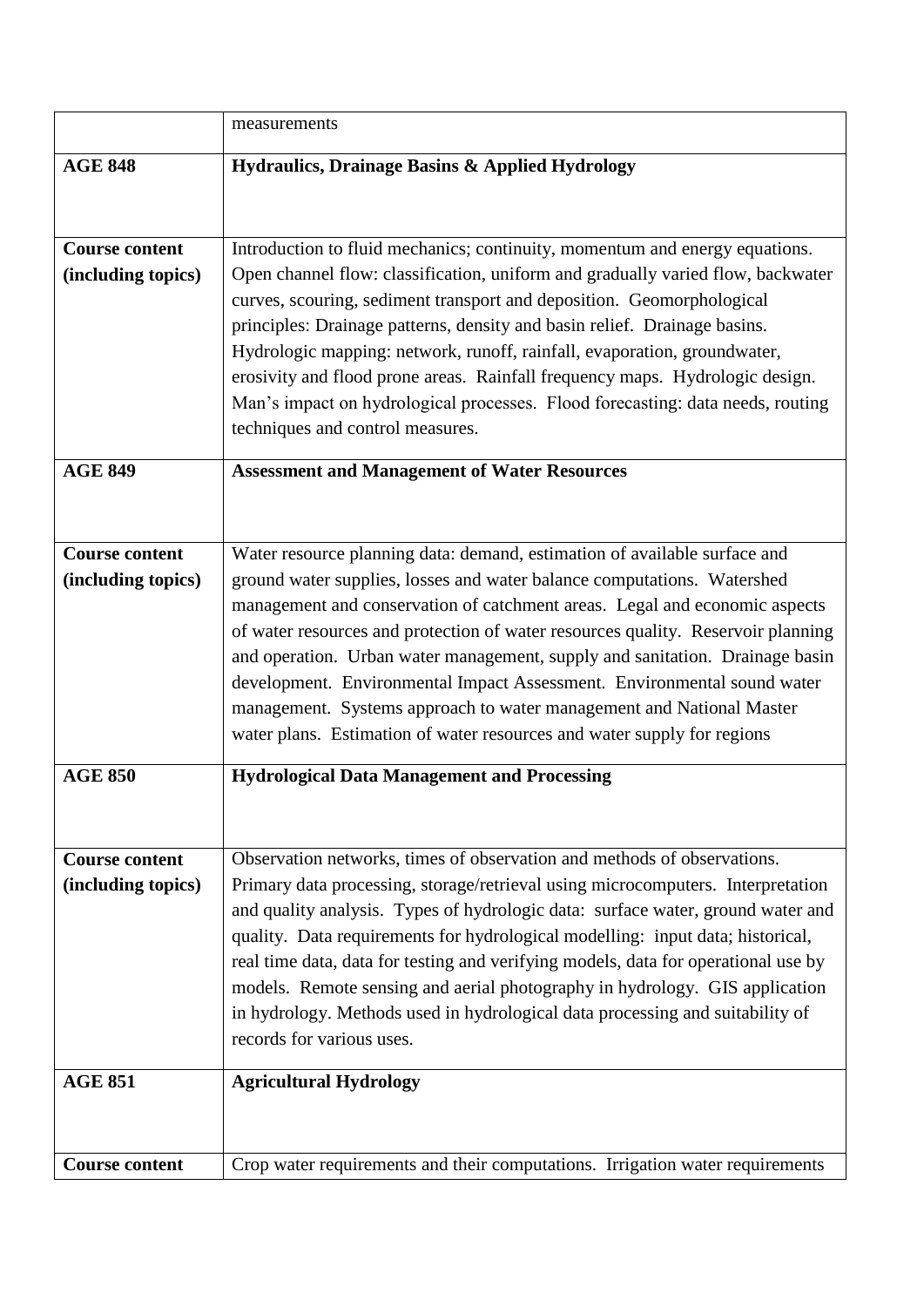|                       | measurements                                                                                                                                    |
|-----------------------|-------------------------------------------------------------------------------------------------------------------------------------------------|
| <b>AGE 848</b>        | Hydraulics, Drainage Basins & Applied Hydrology                                                                                                 |
|                       |                                                                                                                                                 |
| <b>Course content</b> | Introduction to fluid mechanics; continuity, momentum and energy equations.                                                                     |
| (including topics)    | Open channel flow: classification, uniform and gradually varied flow, backwater                                                                 |
|                       | curves, scouring, sediment transport and deposition. Geomorphological                                                                           |
|                       | principles: Drainage patterns, density and basin relief. Drainage basins.                                                                       |
|                       | Hydrologic mapping: network, runoff, rainfall, evaporation, groundwater,                                                                        |
|                       | erosivity and flood prone areas. Rainfall frequency maps. Hydrologic design.                                                                    |
|                       | Man's impact on hydrological processes. Flood forecasting: data needs, routing<br>techniques and control measures.                              |
|                       |                                                                                                                                                 |
| <b>AGE 849</b>        | <b>Assessment and Management of Water Resources</b>                                                                                             |
|                       |                                                                                                                                                 |
| <b>Course content</b> | Water resource planning data: demand, estimation of available surface and                                                                       |
| (including topics)    | ground water supplies, losses and water balance computations. Watershed                                                                         |
|                       | management and conservation of catchment areas. Legal and economic aspects                                                                      |
|                       | of water resources and protection of water resources quality. Reservoir planning                                                                |
|                       | and operation. Urban water management, supply and sanitation. Drainage basin                                                                    |
|                       | development. Environmental Impact Assessment. Environmental sound water                                                                         |
|                       | management. Systems approach to water management and National Master<br>water plans. Estimation of water resources and water supply for regions |
|                       |                                                                                                                                                 |
| <b>AGE 850</b>        | <b>Hydrological Data Management and Processing</b>                                                                                              |
|                       |                                                                                                                                                 |
| <b>Course content</b> | Observation networks, times of observation and methods of observations.                                                                         |
| (including topics)    | Primary data processing, storage/retrieval using microcomputers. Interpretation                                                                 |
|                       | and quality analysis. Types of hydrologic data: surface water, ground water and                                                                 |
|                       | quality. Data requirements for hydrological modelling: input data; historical,                                                                  |
|                       | real time data, data for testing and verifying models, data for operational use by                                                              |
|                       | models. Remote sensing and aerial photography in hydrology. GIS application                                                                     |
|                       | in hydrology. Methods used in hydrological data processing and suitability of                                                                   |
|                       | records for various uses.                                                                                                                       |
| <b>AGE 851</b>        | <b>Agricultural Hydrology</b>                                                                                                                   |
|                       |                                                                                                                                                 |
|                       |                                                                                                                                                 |
| <b>Course content</b> | Crop water requirements and their computations. Irrigation water requirements                                                                   |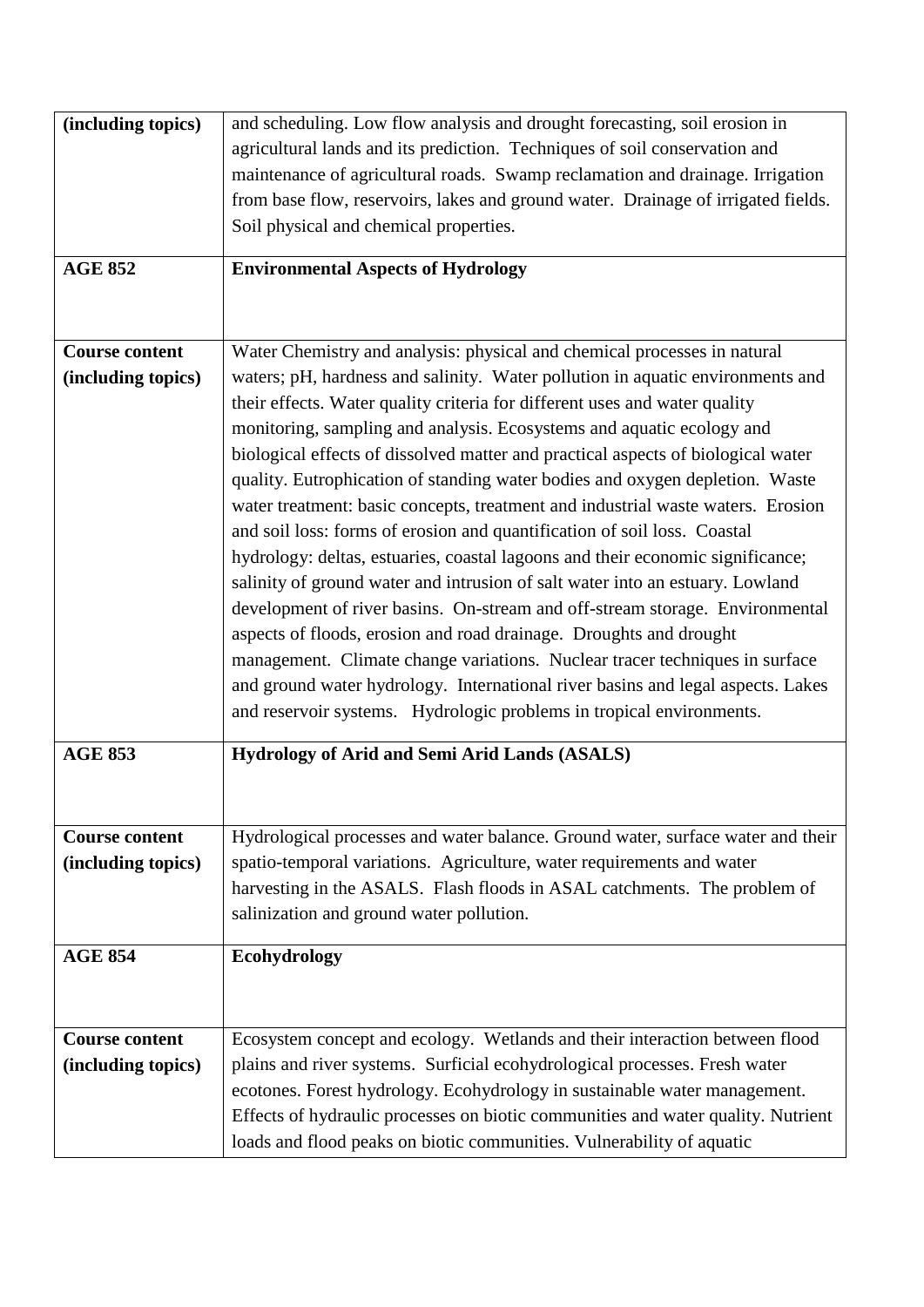| (including topics)    | and scheduling. Low flow analysis and drought forecasting, soil erosion in        |
|-----------------------|-----------------------------------------------------------------------------------|
|                       | agricultural lands and its prediction. Techniques of soil conservation and        |
|                       | maintenance of agricultural roads. Swamp reclamation and drainage. Irrigation     |
|                       | from base flow, reservoirs, lakes and ground water. Drainage of irrigated fields. |
|                       | Soil physical and chemical properties.                                            |
|                       |                                                                                   |
| <b>AGE 852</b>        | <b>Environmental Aspects of Hydrology</b>                                         |
|                       |                                                                                   |
|                       |                                                                                   |
| <b>Course content</b> | Water Chemistry and analysis: physical and chemical processes in natural          |
|                       |                                                                                   |
| (including topics)    | waters; pH, hardness and salinity. Water pollution in aquatic environments and    |
|                       | their effects. Water quality criteria for different uses and water quality        |
|                       | monitoring, sampling and analysis. Ecosystems and aquatic ecology and             |
|                       | biological effects of dissolved matter and practical aspects of biological water  |
|                       | quality. Eutrophication of standing water bodies and oxygen depletion. Waste      |
|                       | water treatment: basic concepts, treatment and industrial waste waters. Erosion   |
|                       | and soil loss: forms of erosion and quantification of soil loss. Coastal          |
|                       | hydrology: deltas, estuaries, coastal lagoons and their economic significance;    |
|                       | salinity of ground water and intrusion of salt water into an estuary. Lowland     |
|                       | development of river basins. On-stream and off-stream storage. Environmental      |
|                       | aspects of floods, erosion and road drainage. Droughts and drought                |
|                       |                                                                                   |
|                       | management. Climate change variations. Nuclear tracer techniques in surface       |
|                       | and ground water hydrology. International river basins and legal aspects. Lakes   |
|                       | and reservoir systems. Hydrologic problems in tropical environments.              |
| <b>AGE 853</b>        | Hydrology of Arid and Semi Arid Lands (ASALS)                                     |
|                       |                                                                                   |
|                       |                                                                                   |
|                       |                                                                                   |
| <b>Course content</b> | Hydrological processes and water balance. Ground water, surface water and their   |
| (including topics)    | spatio-temporal variations. Agriculture, water requirements and water             |
|                       | harvesting in the ASALS. Flash floods in ASAL catchments. The problem of          |
|                       | salinization and ground water pollution.                                          |
|                       |                                                                                   |
| <b>AGE 854</b>        | Ecohydrology                                                                      |
|                       |                                                                                   |
|                       |                                                                                   |
| <b>Course content</b> | Ecosystem concept and ecology. Wetlands and their interaction between flood       |
| (including topics)    | plains and river systems. Surficial ecohydrological processes. Fresh water        |
|                       | ecotones. Forest hydrology. Ecohydrology in sustainable water management.         |
|                       | Effects of hydraulic processes on biotic communities and water quality. Nutrient  |
|                       |                                                                                   |
|                       | loads and flood peaks on biotic communities. Vulnerability of aquatic             |